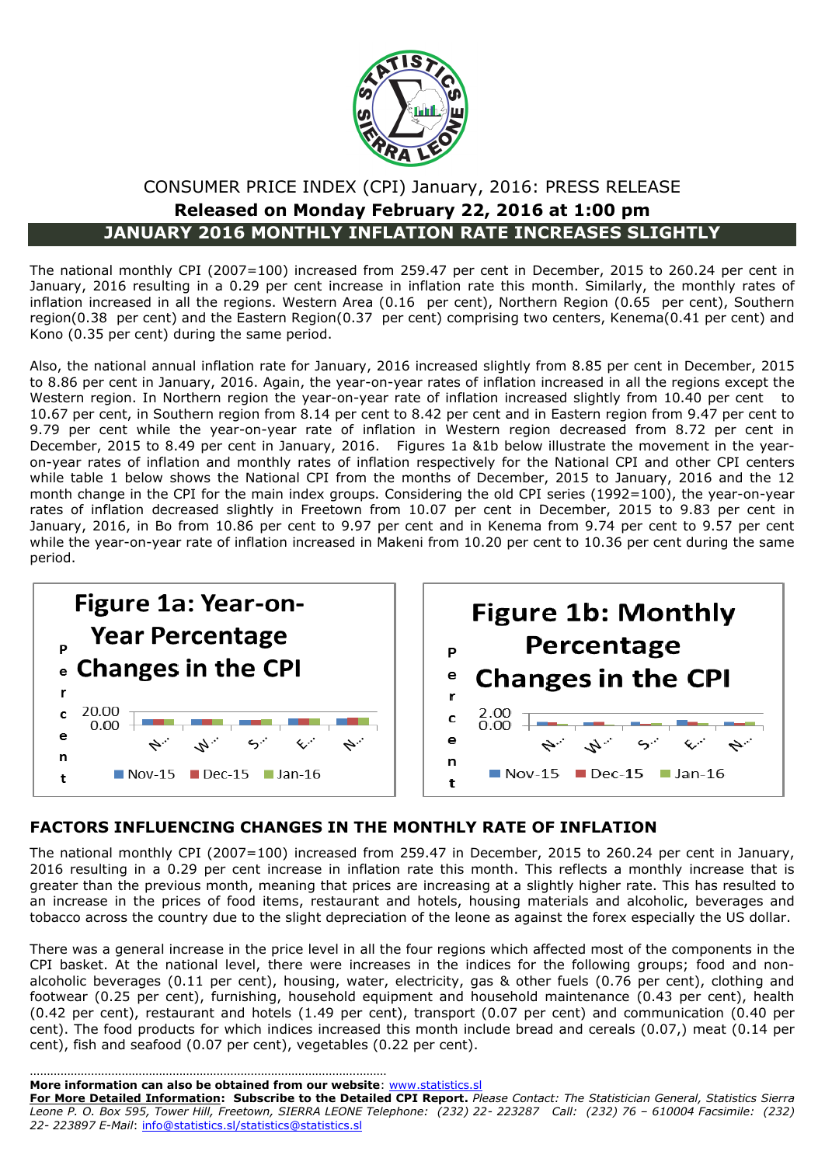

### CONSUMER PRICE INDEX (CPI) January, 2016: PRESS RELEASE **Released on Monday February 22, 2016 at 1:00 pm JANUARY 2016 MONTHLY INFLATION RATE INCREASES SLIGHTLY**

The national monthly CPI (2007=100) increased from 259.47 per cent in December, 2015 to 260.24 per cent in January, 2016 resulting in a 0.29 per cent increase in inflation rate this month. Similarly, the monthly rates of inflation increased in all the regions. Western Area (0.16 per cent), Northern Region (0.65 per cent), Southern region(0.38 per cent) and the Eastern Region(0.37 per cent) comprising two centers, Kenema(0.41 per cent) and Kono (0.35 per cent) during the same period.

Also, the national annual inflation rate for January, 2016 increased slightly from 8.85 per cent in December, 2015 to 8.86 per cent in January, 2016. Again, the year-on-year rates of inflation increased in all the regions except the Western region. In Northern region the year-on-year rate of inflation increased slightly from 10.40 per cent to 10.67 per cent, in Southern region from 8.14 per cent to 8.42 per cent and in Eastern region from 9.47 per cent to 9.79 per cent while the year-on-year rate of inflation in Western region decreased from 8.72 per cent in December, 2015 to 8.49 per cent in January, 2016. Figures 1a &1b below illustrate the movement in the yearon-year rates of inflation and monthly rates of inflation respectively for the National CPI and other CPI centers while table 1 below shows the National CPI from the months of December, 2015 to January, 2016 and the 12 month change in the CPI for the main index groups. Considering the old CPI series (1992=100), the year-on-year rates of inflation decreased slightly in Freetown from 10.07 per cent in December, 2015 to 9.83 per cent in January, 2016, in Bo from 10.86 per cent to 9.97 per cent and in Kenema from 9.74 per cent to 9.57 per cent while the year-on-year rate of inflation increased in Makeni from 10.20 per cent to 10.36 per cent during the same period.



#### **FACTORS INFLUENCING CHANGES IN THE MONTHLY RATE OF INFLATION**

The national monthly CPI (2007=100) increased from 259.47 in December, 2015 to 260.24 per cent in January, 2016 resulting in a 0.29 per cent increase in inflation rate this month. This reflects a monthly increase that is greater than the previous month, meaning that prices are increasing at a slightly higher rate. This has resulted to an increase in the prices of food items, restaurant and hotels, housing materials and alcoholic, beverages and tobacco across the country due to the slight depreciation of the leone as against the forex especially the US dollar.

There was a general increase in the price level in all the four regions which affected most of the components in the CPI basket. At the national level, there were increases in the indices for the following groups; food and nonalcoholic beverages (0.11 per cent), housing, water, electricity, gas & other fuels (0.76 per cent), clothing and footwear (0.25 per cent), furnishing, household equipment and household maintenance (0.43 per cent), health (0.42 per cent), restaurant and hotels (1.49 per cent), transport (0.07 per cent) and communication (0.40 per cent). The food products for which indices increased this month include bread and cereals (0.07,) meat (0.14 per cent), fish and seafood (0.07 per cent), vegetables (0.22 per cent).

**More information can also be obtained from our website**: [www.statistics.sl](http://www.statistics-sierra-leone.org/)

……………………………………………………………………………………………

**For More Detailed Information: Subscribe to the Detailed CPI Report.** *Please Contact: The Statistician General, Statistics Sierra Leone P. O. Box 595, Tower Hill, Freetown, SIERRA LEONE Telephone: (232) 22- 223287 Call: (232) 76 – 610004 Facsimile: (232) 22- 223897 E-Mail*: [info@statistics.sl/statistics@statistics.sl](mailto:info@statistics.sl/statistics@statistics.sl)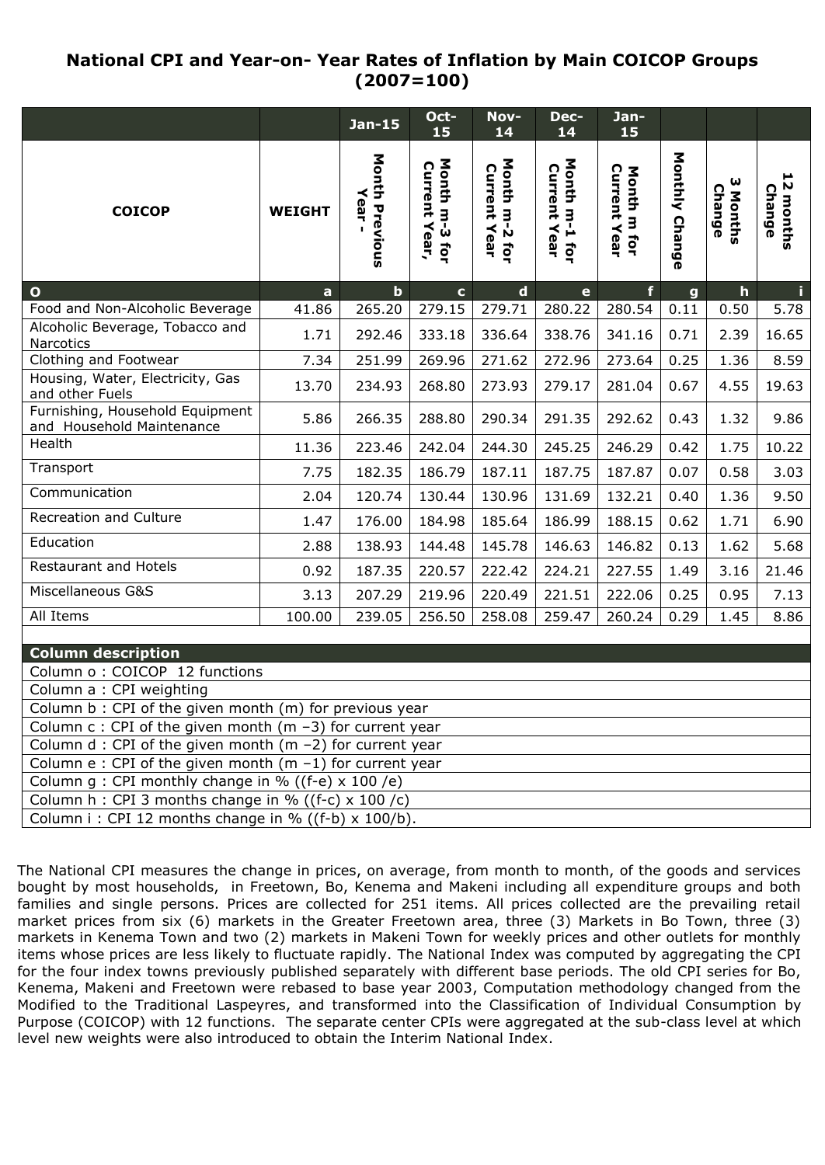### **National CPI and Year-on- Year Rates of Inflation by Main COICOP Groups (2007=100)**

|                                                                |               | <b>Jan-15</b>                 | Oct-<br>15                     | Nov-<br>14                    | Dec-<br>14                           | Jan-<br>15                         |                |                       |                               |  |  |  |  |
|----------------------------------------------------------------|---------------|-------------------------------|--------------------------------|-------------------------------|--------------------------------------|------------------------------------|----------------|-----------------------|-------------------------------|--|--|--|--|
| <b>COICOP</b>                                                  | <b>WEIGHT</b> | <b>Month Previous</b><br>Year | Month m-3 for<br>Current Year, | Month m-2 for<br>Current Year | Month m-1 for<br><b>Current Year</b> | <b>Current Year</b><br>Month m for | Monthly Change | ω<br>Change<br>Months | 12<br><b>Change</b><br>months |  |  |  |  |
| $\mathbf{o}$                                                   | $\mathbf{a}$  | $\mathbf b$                   | $\mathbf{c}$                   | $\mathbf d$                   | $\mathbf{e}$                         | f                                  | $\mathbf{g}$   | $\mathbf{h}$          | i.                            |  |  |  |  |
| Food and Non-Alcoholic Beverage                                | 41.86         | 265.20                        | 279.15                         | 279.71                        | 280.22                               | 280.54                             | 0.11           | 0.50                  | 5.78                          |  |  |  |  |
| Alcoholic Beverage, Tobacco and<br>Narcotics                   | 1.71          | 292.46                        | 333.18                         | 336.64                        | 338.76                               | 341.16                             | 0.71           | 2.39                  | 16.65                         |  |  |  |  |
| Clothing and Footwear                                          | 7.34          | 251.99                        | 269.96                         | 271.62                        | 272.96                               | 273.64                             | 0.25           | 1.36                  | 8.59                          |  |  |  |  |
| Housing, Water, Electricity, Gas<br>and other Fuels            | 13.70         | 234.93                        | 268.80                         | 273.93                        | 279.17                               | 281.04                             | 0.67           | 4.55                  | 19.63                         |  |  |  |  |
| Furnishing, Household Equipment<br>and Household Maintenance   | 5.86          | 266.35                        | 288.80                         | 290.34                        | 291.35                               | 292.62                             | 0.43           | 1.32                  | 9.86                          |  |  |  |  |
| Health                                                         | 11.36         | 223.46                        | 242.04                         | 244.30                        | 245.25                               | 246.29                             | 0.42           | 1.75                  | 10.22                         |  |  |  |  |
| Transport                                                      | 7.75          | 182.35                        | 186.79                         | 187.11                        | 187.75                               | 187.87                             | 0.07           | 0.58                  | 3.03                          |  |  |  |  |
| Communication                                                  | 2.04          | 120.74                        | 130.44                         | 130.96                        | 131.69                               | 132.21                             | 0.40           | 1.36                  | 9.50                          |  |  |  |  |
| <b>Recreation and Culture</b>                                  | 1.47          | 176.00                        | 184.98                         | 185.64                        | 186.99                               | 188.15                             | 0.62           | 1.71                  | 6.90                          |  |  |  |  |
| Education                                                      | 2.88          | 138.93                        | 144.48                         | 145.78                        | 146.63                               | 146.82                             | 0.13           | 1.62                  | 5.68                          |  |  |  |  |
| Restaurant and Hotels                                          | 0.92          | 187.35                        | 220.57                         | 222.42                        | 224.21                               | 227.55                             | 1.49           | 3.16                  | 21.46                         |  |  |  |  |
| Miscellaneous G&S                                              | 3.13          | 207.29                        | 219.96                         | 220.49                        | 221.51                               | 222.06                             | 0.25           | 0.95                  | 7.13                          |  |  |  |  |
| All Items                                                      | 100.00        | 239.05                        | 256.50                         | 258.08                        | 259.47                               | 260.24                             | 0.29           | 1.45                  | 8.86                          |  |  |  |  |
| <b>Column description</b>                                      |               |                               |                                |                               |                                      |                                    |                |                       |                               |  |  |  |  |
| Column o : COICOP 12 functions                                 |               |                               |                                |                               |                                      |                                    |                |                       |                               |  |  |  |  |
| Column a : CPI weighting                                       |               |                               |                                |                               |                                      |                                    |                |                       |                               |  |  |  |  |
| Column b : CPI of the given month (m) for previous year        |               |                               |                                |                               |                                      |                                    |                |                       |                               |  |  |  |  |
| Column $c:$ CPI of the given month (m -3) for current year     |               |                               |                                |                               |                                      |                                    |                |                       |                               |  |  |  |  |
| Column $d$ : CPI of the given month (m $-2$ ) for current year |               |                               |                                |                               |                                      |                                    |                |                       |                               |  |  |  |  |
| Column e : CPI of the given month ( $m - 1$ ) for current year |               |                               |                                |                               |                                      |                                    |                |                       |                               |  |  |  |  |
| Column g : CPI monthly change in % ((f-e) $\times$ 100 /e)     |               |                               |                                |                               |                                      |                                    |                |                       |                               |  |  |  |  |
| Column h : CPI 3 months change in % ((f-c) $\times$ 100 /c)    |               |                               |                                |                               |                                      |                                    |                |                       |                               |  |  |  |  |
| Column i: CPI 12 months change in % ((f-b) $\times$ 100/b).    |               |                               |                                |                               |                                      |                                    |                |                       |                               |  |  |  |  |

The National CPI measures the change in prices, on average, from month to month, of the goods and services bought by most households, in Freetown, Bo, Kenema and Makeni including all expenditure groups and both families and single persons. Prices are collected for 251 items. All prices collected are the prevailing retail market prices from six (6) markets in the Greater Freetown area, three (3) Markets in Bo Town, three (3) markets in Kenema Town and two (2) markets in Makeni Town for weekly prices and other outlets for monthly items whose prices are less likely to fluctuate rapidly. The National Index was computed by aggregating the CPI for the four index towns previously published separately with different base periods. The old CPI series for Bo, Kenema, Makeni and Freetown were rebased to base year 2003, Computation methodology changed from the Modified to the Traditional Laspeyres, and transformed into the Classification of Individual Consumption by Purpose (COICOP) with 12 functions. The separate center CPIs were aggregated at the sub-class level at which level new weights were also introduced to obtain the Interim National Index.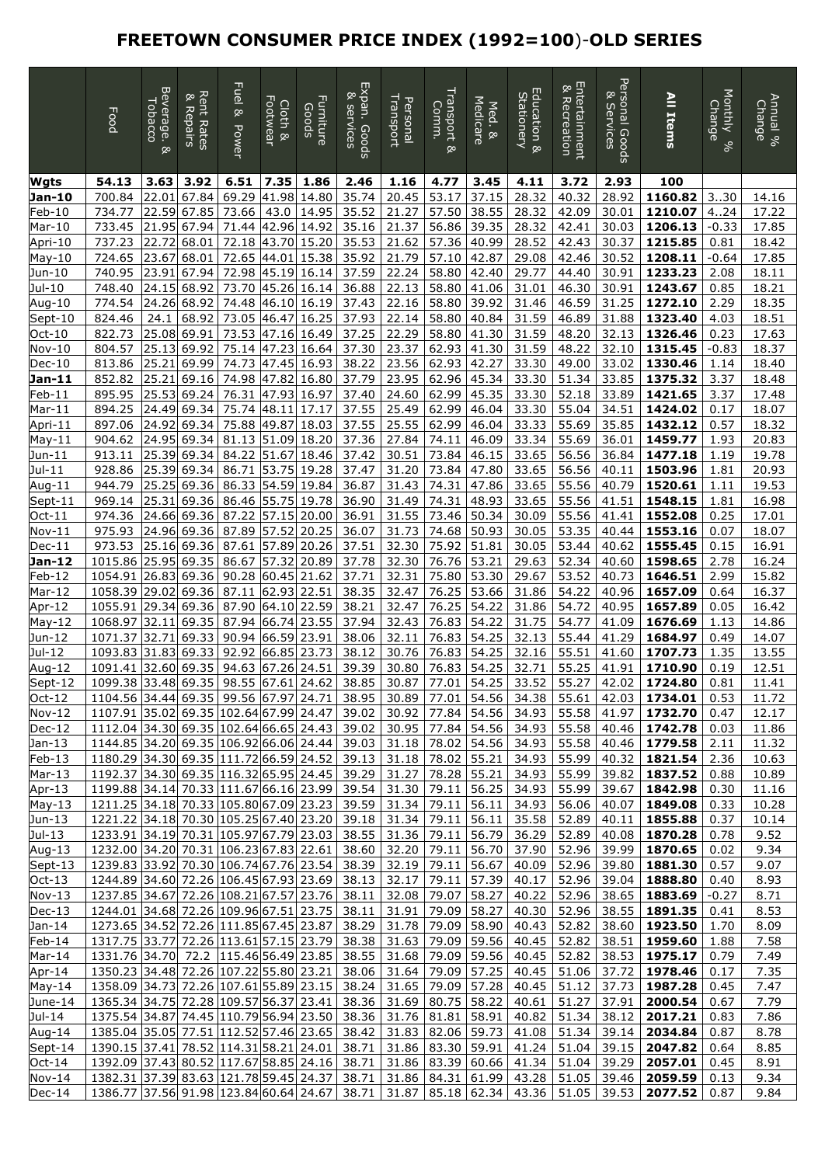## **FREETOWN CONSUMER PRICE INDEX (1992=100**)-**OLD SERIES**

|                      | Food                                                                                                                             | Beverage.<br>Tobacco<br>œ, | <b>Rent Rates</b><br>& Repairs | Fuel &<br><b>Power</b> | Footwear<br>Cloth & | Furniture<br>Goods | Expan. Goods<br>⊗<br>services | Fransport<br>Personal | Transport<br>Comm.<br>œ,         | Medicare<br>Med. & | Education &<br><b>Stationery</b> | Entertainment<br>∞<br>Recreation | Personal Goods<br>⊗<br><b>Services</b> | All Items                                                                               | <b>Monthly</b><br>Change<br>್ನೇ | $\frac{1}{2}$ and $\frac{1}{2}$<br>Change |
|----------------------|----------------------------------------------------------------------------------------------------------------------------------|----------------------------|--------------------------------|------------------------|---------------------|--------------------|-------------------------------|-----------------------|----------------------------------|--------------------|----------------------------------|----------------------------------|----------------------------------------|-----------------------------------------------------------------------------------------|---------------------------------|-------------------------------------------|
| Wgts                 | 54.13                                                                                                                            | 3.63                       | 3.92                           | 6.51                   | 7.35                | 1.86               | 2.46                          | 1.16                  | 4.77                             | 3.45               | 4.11                             | 3.72                             | 2.93                                   | 100                                                                                     |                                 |                                           |
| Jan-10               | 700.84                                                                                                                           | 22.01                      | 67.84                          | 69.29                  | 41.98               | 14.80              | 35.74                         | 20.45                 | 53.17                            | 37.15              | 28.32                            | 40.32                            | 28.92                                  | 1160.82                                                                                 | 330                             | 14.16                                     |
| Feb-10               | 734.77                                                                                                                           | 22.59                      | 67.85                          | 73.66                  | 43.0                | 14.95              | 35.52                         | 21.27                 | 57.50                            | 38.55              | 28.32                            | 42.09                            | 30.01                                  | 1210.07                                                                                 | 4.024                           | 17.22                                     |
| Mar-10<br>Apri-10    | 733.45<br>737.23                                                                                                                 | 21.95<br>22.72             | 67.94<br>68.01                 | 71.44<br>72.18         | 42.96<br>43.70      | 14.92<br>15.20     | 35.16<br>35.53                | 21.37<br>21.62        | 56.86<br>57.36                   | 39.35<br>40.99     | 28.32<br>28.52                   | 42.41<br>42.43                   | 30.03<br>30.37                         | 1206.13<br>1215.85                                                                      | $-0.33$<br>0.81                 | 17.85<br>18.42                            |
| $May-10$             | 724.65                                                                                                                           | 23.67                      | 68.01                          | 72.65                  | 44.01               | 15.38              | 35.92                         | 21.79                 | 57.10                            | 42.87              | 29.08                            | 42.46                            | 30.52                                  | 1208.11                                                                                 | $-0.64$                         | 17.85                                     |
| Jun-10               | 740.95                                                                                                                           | 23.91                      | 67.94                          | 72.98                  | 45.19               | 16.14              | 37.59                         | 22.24                 | 58.80                            | 42.40              | 29.77                            | 44.40                            | 30.91                                  | 1233.23                                                                                 | 2.08                            | 18.11                                     |
| Jul-10               | 748.40                                                                                                                           | 24.15                      | 68.92                          | 73.70                  | 45.26               | 16.14              | 36.88                         | 22.13                 | 58.80                            | 41.06              | 31.01                            | 46.30                            | 30.91                                  | 1243.67                                                                                 | 0.85                            | 18.21                                     |
| Aug-10               | 774.54                                                                                                                           | 24.26                      | 68.92                          | 74.48                  | 46.10               | 16.19              | 37.43                         | 22.16                 | 58.80                            | 39.92              | 31.46                            | 46.59                            | 31.25                                  | 1272.10                                                                                 | 2.29                            | 18.35                                     |
| Sept-10              | 824.46                                                                                                                           | 24.1                       | 68.92                          | 73.05                  | 46.47               | 16.25              | 37.93                         | 22.14                 | 58.80                            | 40.84              | 31.59                            | 46.89                            | 31.88                                  | 1323.40                                                                                 | 4.03                            | 18.51                                     |
| Oct-10<br>$Nov-10$   | 822.73<br>804.57                                                                                                                 | 25.08<br>25.13             | 69.91<br>69.92                 | 73.53<br>75.14         | 47.16<br>47.23      | 16.49<br>16.64     | 37.25<br>37.30                | 22.29<br>23.37        | 58.80<br>62.93                   | 41.30<br>41.30     | 31.59<br>31.59                   | 48.20<br>48.22                   | 32.13<br>32.10                         | 1326.46<br>1315.45                                                                      | 0.23<br>$-0.83$                 | 17.63<br>18.37                            |
| $Dec-10$             | 813.86                                                                                                                           | 25.21                      | 69.99                          | 74.73                  | 47.45               | 16.93              | 38.22                         | 23.56                 | 62.93                            | 42.27              | 33.30                            | 49.00                            | 33.02                                  | 1330.46                                                                                 | 1.14                            | 18.40                                     |
| Jan-11               | 852.82                                                                                                                           | 25.21                      | 69.16                          | 74.98                  | 47.82               | 16.80              | 37.79                         | 23.95                 | 62.96                            | 45.34              | 33.30                            | 51.34                            | 33.85                                  | 1375.32                                                                                 | 3.37                            | 18.48                                     |
| $Feb-11$             | 895.95                                                                                                                           | 25.53                      | 69.24                          | 76.31                  | 47.93               | 16.97              | 37.40                         | 24.60                 | 62.99                            | 45.35              | 33.30                            | 52.18                            | 33.89                                  | 1421.65                                                                                 | 3.37                            | 17.48                                     |
| Mar-11               | 894.25                                                                                                                           | 24.49                      | 69.34                          | 75.74                  | 48.11               | 17.17              | 37.55                         | 25.49                 | 62.99                            | 46.04              | 33.30                            | 55.04                            | 34.51                                  | 1424.02                                                                                 | 0.17                            | 18.07                                     |
| Apri-11              | 897.06                                                                                                                           | 24.92                      | 69.34<br>69.34                 | 75.88                  | 49.87               | 18.03              | 37.55                         | 25.55                 | 62.99                            | 46.04              | 33.33                            | 55.69                            | 35.85                                  | 1432.12                                                                                 | 0.57                            | 18.32                                     |
| $May-11$<br>Jun-11   | 904.62<br>913.11                                                                                                                 | 24.95<br>25.39             | 69.34                          | 81.13<br>84.22         | 51.09<br>51.67      | 18.20<br>18.46     | 37.36<br>37.42                | 27.84<br>30.51        | 74.11<br>73.84                   | 46.09<br>46.15     | 33.34<br>33.65                   | 55.69<br>56.56                   | 36.01<br>36.84                         | 1459.77<br>1477.18                                                                      | 1.93<br>1.19                    | 20.83<br>19.78                            |
| Jul-11               | 928.86                                                                                                                           | 25.39                      | 69.34                          | 86.71                  | 53.75               | 19.28              | 37.47                         | 31.20                 | 73.84                            | 47.80              | 33.65                            | 56.56                            | 40.11                                  | 1503.96                                                                                 | 1.81                            | 20.93                                     |
| Aug-11               | 944.79                                                                                                                           | 25.25                      | 69.36                          | 86.33                  | 54.59               | 19.84              | 36.87                         | 31.43                 | 74.31                            | 47.86              | 33.65                            | 55.56                            | 40.79                                  | 1520.61                                                                                 | 1.11                            | 19.53                                     |
| Sept-11              | 969.14                                                                                                                           | 25.31                      | 69.36                          | 86.46                  | 55.75               | 19.78              | 36.90                         | 31.49                 | 74.31                            | 48.93              | 33.65                            | 55.56                            | 41.51                                  | 1548.15                                                                                 | 1.81                            | 16.98                                     |
| Oct-11               | 974.36                                                                                                                           | 24.66                      | 69.36                          | 87.22                  | 57.15               | 20.00              | 36.91                         | 31.55                 | 73.46                            | 50.34              | 30.09                            | 55.56                            | 41.41                                  | 1552.08                                                                                 | 0.25                            | 17.01                                     |
| $Nov-11$             | 975.93                                                                                                                           | 24.96                      | 69.36                          | 87.89                  | 57.52               | 20.25              | 36.07                         | 31.73                 | 74.68                            | 50.93              | 30.05                            | 53.35                            | 40.44                                  | 1553.16                                                                                 | 0.07                            | 18.07                                     |
| Dec-11<br>Jan-12     | 973.53<br>1015.86                                                                                                                | 25.16<br>25.95             | 69.36<br>69.35                 | 87.61<br>86.67         | 57.89<br>57.32      | 20.26<br>20.89     | 37.51<br>37.78                | 32.30<br>32.30        | 75.92<br>76.76                   | 51.81<br>53.21     | 30.05<br>29.63                   | 53.44<br>52.34                   | 40.62<br>40.60                         | 1555.45<br>1598.65                                                                      | 0.15<br>2.78                    | 16.91<br>16.24                            |
| Feb-12               | 1054.91                                                                                                                          | 26.83                      | 69.36                          | 90.28                  | 60.45               | 21.62              | 37.71                         | 32.31                 | 75.80                            | 53.30              | 29.67                            | 53.52                            | 40.73                                  | 1646.51                                                                                 | 2.99                            | 15.82                                     |
| Mar-12               | 1058.39                                                                                                                          | 29.02                      | 69.36                          | 87.11                  | 62.93               | 22.51              | 38.35                         | 32.47                 | 76.25                            | 53.66              | 31.86                            | 54.22                            | 40.96                                  | 1657.09                                                                                 | 0.64                            | 16.37                                     |
| Apr-12               | 1055.91                                                                                                                          | 29.34                      | 69.36                          | 87.90                  | 64.10               | 22.59              | 38.21                         | 32.47                 | 76.25                            | 54.22              | 31.86                            | 54.72                            | 40.95                                  | 1657.89                                                                                 | 0.05                            | 16.42                                     |
| May-12               | 1068.97                                                                                                                          | 32.11                      | 69.35                          | 87.94                  | 66.74               | 23.55              | 37.94                         | 32.43                 | 76.83                            | 54.22              | 31.75                            | 54.77                            | 41.09                                  | 1676.69                                                                                 | 1.13                            | 14.86                                     |
| Jun-12               | 1071.37                                                                                                                          | 32.71                      | 69.33                          | 90.94                  | 66.59               | 23.91              | 38.06                         | 32.11                 | 76.83                            | 54.25              | 32.13                            | 55.44                            | 41.29                                  | 1684.97                                                                                 | 0.49                            | 14.07                                     |
| Jul-12<br>Aug-12     | 1093.83<br>1091.41                                                                                                               | 31.83<br>32.60             | 69.33<br>69.35                 | 92.92<br>94.63         | 66.85<br>67.26      | 23.73<br>24.51     | 38.12<br>39.39                | 30.76<br>30.80        | 76.83<br>76.83                   | 54.25<br>54.25     | 32.16<br>32.71                   | 55.51<br>55.25                   | 41.60<br>41.91                         | 1707.73<br>1710.90                                                                      | 1.35<br>0.19                    | 13.55<br>12.51                            |
| Sept-12              | 1099.38 33.48 69.35                                                                                                              |                            |                                | 98.55                  | 67.61               | 24.62              | 38.85                         | 30.87                 | 77.01                            | 54.25              | 33.52                            | 55.27                            | 42.02                                  | 1724.80                                                                                 | 0.81                            | 11.41                                     |
| $Oct-12$             |                                                                                                                                  |                            |                                |                        |                     |                    |                               |                       |                                  |                    |                                  |                                  |                                        | 1104.56 34.44 69.35 99.56 67.97 24.71 38.95 30.89 77.01 54.56 34.38 55.61 42.03 1734.01 | 0.53                            | 11.72                                     |
| Nov-12               | 1107.91 35.02 69.35 102.64 67.99 24.47 39.02 30.92 77.84 54.56 34.93                                                             |                            |                                |                        |                     |                    |                               |                       |                                  |                    |                                  | 55.58                            | 41.97                                  | 1732.70                                                                                 | 0.47                            | 12.17                                     |
| $Dec-12$             | 1112.04 34.30 69.35 102.64 66.65 24.43 39.02 30.95 77.84 54.56 34.93                                                             |                            |                                |                        |                     |                    |                               |                       |                                  |                    |                                  | 55.58                            | 40.46                                  | 1742.78                                                                                 | 0.03                            | 11.86                                     |
| Jan-13               | 1144.85 34.20 69.35 106.92 66.06 24.44 39.03 31.18 78.02 54.56                                                                   |                            |                                |                        |                     |                    |                               |                       |                                  |                    | 34.93                            | 55.58                            | 40.46                                  | 1779.58                                                                                 | 2.11                            | 11.32                                     |
| $Feb-13$<br>$Mar-13$ | 1180.29 34.30 69.35 111.72 66.59 24.52 39.13 31.18 78.02 55.21<br>1192.37 34.30 69.35 116.32 65.95 24.45 39.29 31.27 78.28 55.21 |                            |                                |                        |                     |                    |                               |                       |                                  |                    | 34.93<br>34.93                   | 55.99<br>55.99                   | 40.32<br>39.82                         | 1821.54<br>1837.52                                                                      | 2.36<br>0.88                    | 10.63<br>10.89                            |
| Apr-13               | 1199.88 34.14 70.33 111.67 66.16 23.99 39.54 31.30 79.11 56.25                                                                   |                            |                                |                        |                     |                    |                               |                       |                                  |                    | 34.93                            | 55.99                            | 39.67                                  | 1842.98                                                                                 | 0.30                            | 11.16                                     |
| May-13               | 1211.25 34.18 70.33 105.80 67.09 23.23 39.59 31.34 79.11 56.11                                                                   |                            |                                |                        |                     |                    |                               |                       |                                  |                    | 34.93                            | 56.06                            | 40.07                                  | 1849.08                                                                                 | 0.33                            | 10.28                                     |
| Jun-13               | 1221.22 34.18 70.30 105.25 67.40 23.20 39.18 31.34 79.11 56.11                                                                   |                            |                                |                        |                     |                    |                               |                       |                                  |                    | 35.58                            | 52.89                            | 40.11                                  | 1855.88                                                                                 | 0.37                            | 10.14                                     |
| Jul-13               | 1233.91 34.19 70.31 105.97 67.79 23.03 38.55 31.36 79.11 56.79                                                                   |                            |                                |                        |                     |                    |                               |                       |                                  |                    | 36.29                            | 52.89                            | 40.08                                  | 1870.28                                                                                 | 0.78                            | 9.52                                      |
| Aug-13               | 1232.00 34.20 70.31 106.23 67.83 22.61 38.60 32.20 79.11                                                                         |                            |                                |                        |                     |                    |                               |                       |                                  | 56.70              | 37.90                            | 52.96                            | 39.99                                  | 1870.65                                                                                 | 0.02                            | 9.34                                      |
| Sept-13<br>$Oct-13$  | 1239.83 33.92 70.30 106.74 67.76 23.54 38.39 32.19 79.11<br>1244.89 34.60 72.26 106.45 67.93 23.69 38.13 32.17 79.11             |                            |                                |                        |                     |                    |                               |                       |                                  | 56.67<br>57.39     | 40.09<br>40.17                   | 52.96<br>52.96                   | 39.80<br>39.04                         | 1881.30<br>1888.80                                                                      | 0.57<br>0.40                    | 9.07<br>8.93                              |
| Nov-13               | 1237.85 34.67 72.26 108.21 67.57 23.76 38.11 32.08 79.07                                                                         |                            |                                |                        |                     |                    |                               |                       |                                  | 58.27              | 40.22                            | 52.96                            | 38.65                                  | 1883.69 $-0.27$                                                                         |                                 | 8.71                                      |
| $Dec-13$             | 1244.01 34.68 72.26 109.96 67.51 23.75 38.11 31.91 79.09 58.27                                                                   |                            |                                |                        |                     |                    |                               |                       |                                  |                    | 40.30                            | 52.96                            | 38.55                                  | 1891.35                                                                                 | 0.41                            | 8.53                                      |
| Jan-14               | 1273.65 34.52 72.26 111.85 67.45 23.87 38.29 31.78 79.09 58.90                                                                   |                            |                                |                        |                     |                    |                               |                       |                                  |                    | 40.43                            | 52.82                            | 38.60                                  | 1923.50                                                                                 | 1.70                            | 8.09                                      |
| Feb-14               | 1317.75 33.77 72.26 113.61 57.15 23.79 38.38                                                                                     |                            |                                |                        |                     |                    |                               |                       | 31.63 79.09                      | 59.56              | 40.45                            | 52.82                            | 38.51                                  | 1959.60                                                                                 | 1.88                            | 7.58                                      |
| Mar-14               | 1331.76 34.70 72.2 115.46 56.49 23.85 38.55 31.68 79.09                                                                          |                            |                                |                        |                     |                    |                               |                       |                                  |                    | 59.56 40.45                      | 52.82                            | 38.53                                  | 1975.17                                                                                 | 0.79                            | 7.49                                      |
| Apr-14<br>May-14     | 1350.23 34.48 72.26 107.22 55.80 23.21 38.06 31.64 79.09 57.25<br>1358.09 34.73 72.26 107.61 55.89 23.15 38.24 31.65 79.09 57.28 |                            |                                |                        |                     |                    |                               |                       |                                  |                    | 40.45<br>40.45                   | 51.06<br>51.12                   | 37.72<br>37.73                         | 1978.46<br>1987.28                                                                      | 0.17<br>0.45                    | 7.35<br>7.47                              |
| June-14              | 1365.34 34.75 72.28 109.57 56.37 23.41 38.36 31.69 80.75 58.22                                                                   |                            |                                |                        |                     |                    |                               |                       |                                  |                    | 40.61                            | 51.27                            | 37.91                                  | 2000.54                                                                                 | 0.67                            | 7.79                                      |
| Jul-14               | 1375.54 34.87 74.45 110.79 56.94 23.50 38.36 31.76 81.81 58.91                                                                   |                            |                                |                        |                     |                    |                               |                       |                                  |                    | 40.82                            | 51.34                            | 38.12                                  | 2017.21                                                                                 | 0.83                            | 7.86                                      |
| Aug-14               | 1385.04 35.05 77.51 112.52 57.46 23.65 38.42 31.83 82.06 59.73                                                                   |                            |                                |                        |                     |                    |                               |                       |                                  |                    | 41.08                            | 51.34                            | 39.14                                  | 2034.84                                                                                 | 0.87                            | 8.78                                      |
| Sept-14              | 1390.15 37.41 78.52 114.31 58.21 24.01 38.71                                                                                     |                            |                                |                        |                     |                    |                               |                       | 31.86 83.30                      | 59.91              | 41.24                            | 51.04                            | 39.15                                  | 2047.82                                                                                 | 0.64                            | 8.85                                      |
| Oct-14<br>Nov-14     | 1392.09 37.43 80.52 117.67 58.85 24.16 38.71<br>1382.31 37.39 83.63 121.78 59.45 24.37 38.71                                     |                            |                                |                        |                     |                    |                               |                       | 31.86 83.39<br>31.86 84.31 61.99 | 60.66              | 41.34<br>43.28                   | 51.04<br>51.05                   | 39.29<br>39.46                         | 2057.01<br>2059.59                                                                      | 0.45<br>0.13                    | 8.91<br>9.34                              |
| $Dec-14$             | 1386.77 37.56 91.98 123.84 60.64 24.67                                                                                           |                            |                                |                        |                     |                    | 38.71                         |                       | 31.87 85.18                      | 62.34              | 43.36                            | 51.05                            | 39.53                                  | 2077.52                                                                                 | 0.87                            | 9.84                                      |
|                      |                                                                                                                                  |                            |                                |                        |                     |                    |                               |                       |                                  |                    |                                  |                                  |                                        |                                                                                         |                                 |                                           |